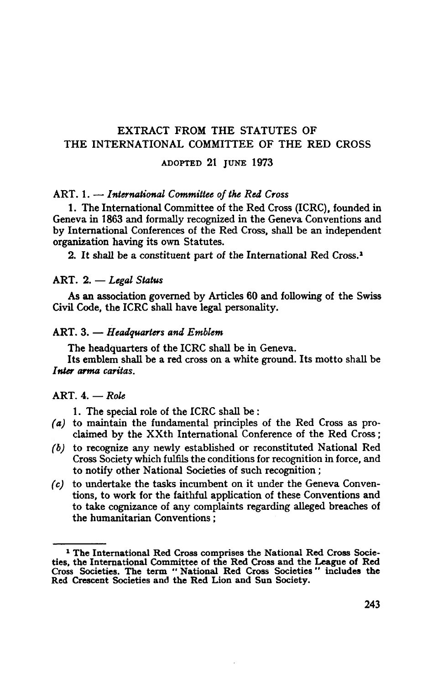# EXTRACT FROM THE STATUTES OF THE INTERNATIONAL COMMITTEE OF THE RED CROSS

**ADOPTED 21 JUNE 1973**

## ART. 1. — *International Committee of the Red Cross*

1. The International Committee of the Red Cross (ICRC), founded in Geneva in 1863 and formally recognized in the Geneva Conventions and by International Conferences of the Red Cross, shall be an independent organization having its own Statutes.

2. It shall be a constituent part of the International Red Cross.1

#### ART. 2. — *Legal Status*

As an association governed by Articles 60 and following of the Swiss Civil Code, the ICRC shall have legal personality.

## ART. 3. — *Headquarters and Emblem*

The headquarters of the ICRC shall be in Geneva. Its emblem shall be a red cross on a white ground. Its motto shall be *Inter arma caritas.*

# ART. 4. — *Role*

1. The special role of the ICRC shall be:

- *(a)* to maintain the fundamental principles of the Red Cross as pro- claimed by the XXth International Conference of the Red Cross;
- *(b)* to recognize any newly established or reconstituted National Red Cross Society which fulfils the conditions for recognition in force, and to notify other National Societies of such recognition;
- *(c)* to undertake the tasks incumbent on it under the Geneva Conven- tions, to work for the faithful application of these Conventions and to take cognizance of any complaints regarding alleged breaches of the humanitarian Conventions;

<sup>&</sup>lt;sup>1</sup> The International Red Cross comprises the National Red Cross Socie- **The International Red Cross comprises the National Red Cross Socie- ties, the International Committee of the Red Cross and the League of Red Cross Societies. The term " National Red Cross Societies" includes the Red Crescent Societies and the Red Lion and Sun Society.**